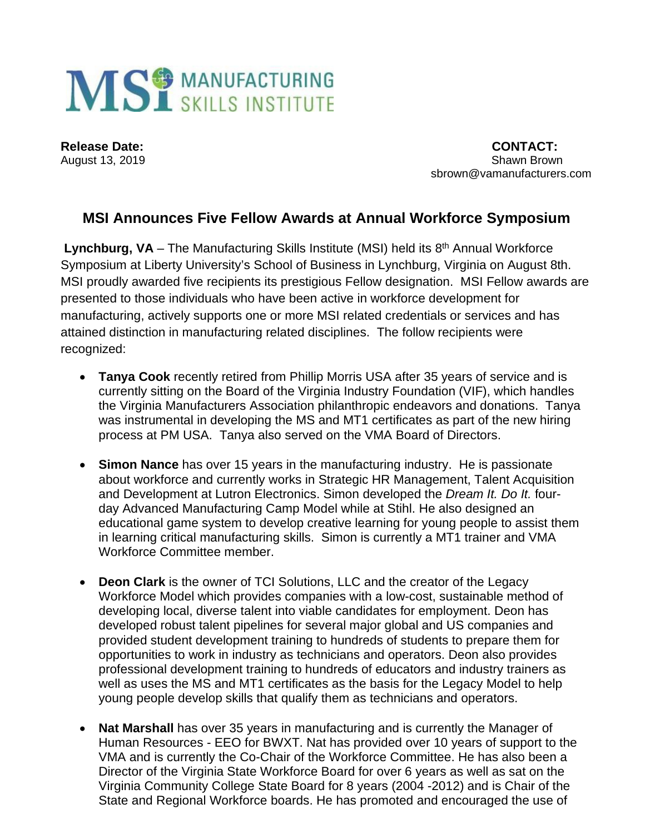

August 13, 2019

**Release Date:** CONTACT: 2019 sbrown@vamanufacturers.com

## **MSI Announces Five Fellow Awards at Annual Workforce Symposium**

**Lynchburg, VA** – The Manufacturing Skills Institute (MSI) held its 8th Annual Workforce Symposium at Liberty University's School of Business in Lynchburg, Virginia on August 8th. MSI proudly awarded five recipients its prestigious Fellow designation. MSI Fellow awards are presented to those individuals who have been active in workforce development for manufacturing, actively supports one or more MSI related credentials or services and has attained distinction in manufacturing related disciplines. The follow recipients were recognized:

- **Tanya Cook** recently retired from Phillip Morris USA after 35 years of service and is currently sitting on the Board of the Virginia Industry Foundation (VIF), which handles the Virginia Manufacturers Association philanthropic endeavors and donations. Tanya was instrumental in developing the MS and MT1 certificates as part of the new hiring process at PM USA. Tanya also served on the VMA Board of Directors.
- **Simon Nance** has over 15 years in the manufacturing industry. He is passionate about workforce and currently works in Strategic HR Management, Talent Acquisition and Development at Lutron Electronics. Simon developed the *Dream It. Do It.* fourday Advanced Manufacturing Camp Model while at Stihl. He also designed an educational game system to develop creative learning for young people to assist them in learning critical manufacturing skills. Simon is currently a MT1 trainer and VMA Workforce Committee member.
- **Deon Clark** is the owner of TCI Solutions, LLC and the creator of the Legacy Workforce Model which provides companies with a low-cost, sustainable method of developing local, diverse talent into viable candidates for employment. Deon has developed robust talent pipelines for several major global and US companies and provided student development training to hundreds of students to prepare them for opportunities to work in industry as technicians and operators. Deon also provides professional development training to hundreds of educators and industry trainers as well as uses the MS and MT1 certificates as the basis for the Legacy Model to help young people develop skills that qualify them as technicians and operators.
- **Nat Marshall** has over 35 years in manufacturing and is currently the Manager of Human Resources - EEO for BWXT. Nat has provided over 10 years of support to the VMA and is currently the Co-Chair of the Workforce Committee. He has also been a Director of the Virginia State Workforce Board for over 6 years as well as sat on the Virginia Community College State Board for 8 years (2004 -2012) and is Chair of the State and Regional Workforce boards. He has promoted and encouraged the use of